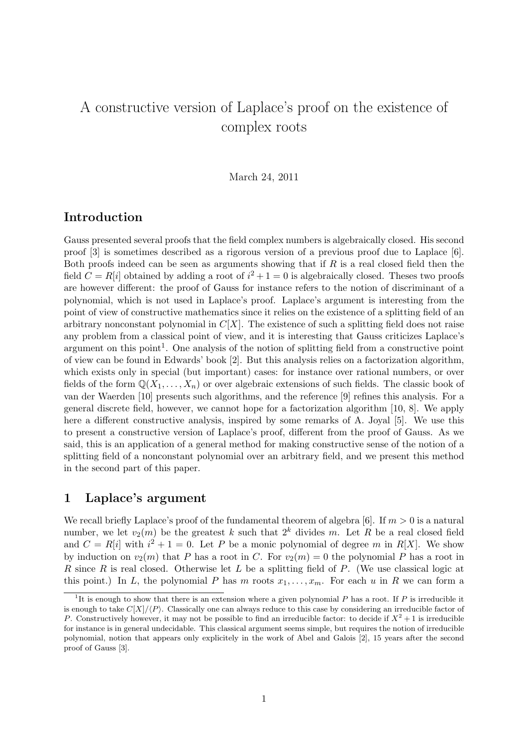# A constructive version of Laplace's proof on the existence of complex roots

### March 24, 2011

# Introduction

Gauss presented several proofs that the field complex numbers is algebraically closed. His second proof [3] is sometimes described as a rigorous version of a previous proof due to Laplace [6]. Both proofs indeed can be seen as arguments showing that if  $R$  is a real closed field then the field  $C = R[i]$  obtained by adding a root of  $i^2 + 1 = 0$  is algebraically closed. Theses two proofs are however different: the proof of Gauss for instance refers to the notion of discriminant of a polynomial, which is not used in Laplace's proof. Laplace's argument is interesting from the point of view of constructive mathematics since it relies on the existence of a splitting field of an arbitrary nonconstant polynomial in  $C[X]$ . The existence of such a splitting field does not raise any problem from a classical point of view, and it is interesting that Gauss criticizes Laplace's argument on this point<sup>1</sup>. One analysis of the notion of splitting field from a constructive point of view can be found in Edwards' book [2]. But this analysis relies on a factorization algorithm, which exists only in special (but important) cases: for instance over rational numbers, or over fields of the form  $\mathbb{Q}(X_1,\ldots,X_n)$  or over algebraic extensions of such fields. The classic book of van der Waerden [10] presents such algorithms, and the reference [9] refines this analysis. For a general discrete field, however, we cannot hope for a factorization algorithm [10, 8]. We apply here a different constructive analysis, inspired by some remarks of A. Joyal [5]. We use this to present a constructive version of Laplace's proof, different from the proof of Gauss. As we said, this is an application of a general method for making constructive sense of the notion of a splitting field of a nonconstant polynomial over an arbitrary field, and we present this method in the second part of this paper.

## 1 Laplace's argument

We recall briefly Laplace's proof of the fundamental theorem of algebra [6]. If  $m > 0$  is a natural number, we let  $v_2(m)$  be the greatest k such that  $2^k$  divides m. Let R be a real closed field and  $C = R[i]$  with  $i^2 + 1 = 0$ . Let P be a monic polynomial of degree m in R[X]. We show by induction on  $v_2(m)$  that P has a root in C. For  $v_2(m) = 0$  the polynomial P has a root in R since R is real closed. Otherwise let L be a splitting field of P. (We use classical logic at this point.) In L, the polynomial P has m roots  $x_1, \ldots, x_m$ . For each u in R we can form a

<sup>&</sup>lt;sup>1</sup>It is enough to show that there is an extension where a given polynomial P has a root. If P is irreducible it is enough to take  $C[X]/\langle P \rangle$ . Classically one can always reduce to this case by considering an irreducible factor of P. Constructively however, it may not be possible to find an irreducible factor: to decide if  $X^2 + 1$  is irreducible for instance is in general undecidable. This classical argument seems simple, but requires the notion of irreducible polynomial, notion that appears only explicitely in the work of Abel and Galois [2], 15 years after the second proof of Gauss [3].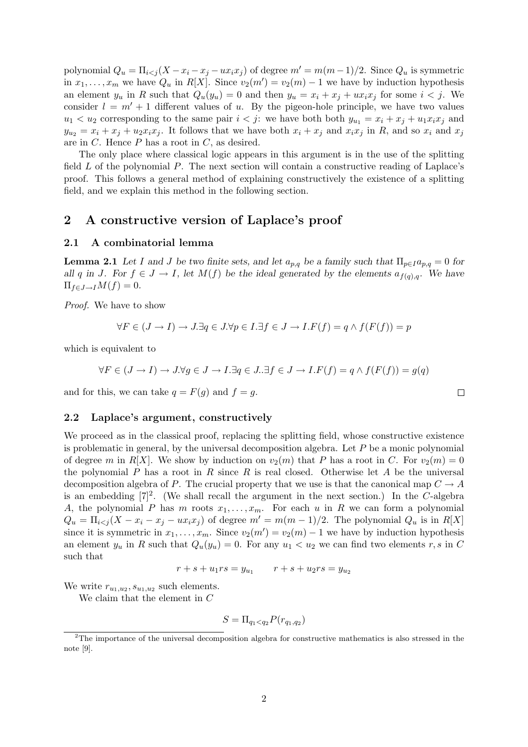polynomial  $Q_u = \prod_{i < j} (X - x_i - x_j - ux_i x_j)$  of degree  $m' = m(m - 1)/2$ . Since  $Q_u$  is symmetric in  $x_1, \ldots, x_m$  we have  $Q_u$  in  $R[X]$ . Since  $v_2(m') = v_2(m) - 1$  we have by induction hypothesis an element  $y_u$  in R such that  $Q_u(y_u) = 0$  and then  $y_u = x_i + x_j + ux_ix_j$  for some  $i < j$ . We consider  $l = m' + 1$  different values of u. By the pigeon-hole principle, we have two values  $u_1 < u_2$  corresponding to the same pair  $i < j$ : we have both both  $y_{u_1} = x_i + x_j + u_1 x_i x_j$  and  $y_{u_2} = x_i + x_j + u_2 x_i x_j$ . It follows that we have both  $x_i + x_j$  and  $x_i x_j$  in R, and so  $x_i$  and  $x_j$ are in  $C$ . Hence  $P$  has a root in  $C$ , as desired.

The only place where classical logic appears in this argument is in the use of the splitting field  $L$  of the polynomial  $P$ . The next section will contain a constructive reading of Laplace's proof. This follows a general method of explaining constructively the existence of a splitting field, and we explain this method in the following section.

## 2 A constructive version of Laplace's proof

#### 2.1 A combinatorial lemma

**Lemma 2.1** Let I and J be two finite sets, and let  $a_{p,q}$  be a family such that  $\Pi_{p\in I}a_{p,q}=0$  for all q in J. For  $f \in J \to I$ , let  $M(f)$  be the ideal generated by the elements  $a_{f(q),q}$ . We have  $\Pi_{f\in J\to I}M(f)=0.$ 

Proof. We have to show

$$
\forall F \in (J \to I) \to J.\exists q \in J.\forall p \in I.\exists f \in J \to I.\,F(f) = q \land f(F(f)) = p
$$

which is equivalent to

$$
\forall F \in (J \to I) \to J. \forall g \in J \to I. \exists q \in J. \exists f \in J \to I. F(f) = q \land f(F(f)) = g(q)
$$

and for this, we can take  $q = F(g)$  and  $f = g$ .

#### 2.2 Laplace's argument, constructively

We proceed as in the classical proof, replacing the splitting field, whose constructive existence is problematic in general, by the universal decomposition algebra. Let  $P$  be a monic polynomial of degree m in R[X]. We show by induction on  $v_2(m)$  that P has a root in C. For  $v_2(m) = 0$ the polynomial P has a root in R since R is real closed. Otherwise let A be the universal decomposition algebra of P. The crucial property that we use is that the canonical map  $C \to A$ is an embedding  $[7]^2$ . (We shall recall the argument in the next section.) In the C-algebra A, the polynomial P has m roots  $x_1, \ldots, x_m$ . For each u in R we can form a polynomial  $Q_u = \prod_{i < j} (X - x_i - x_j - u x_i x_j)$  of degree  $m' = m(m - 1)/2$ . The polynomial  $Q_u$  is in  $R[X]$ since it is symmetric in  $x_1, \ldots, x_m$ . Since  $v_2(m') = v_2(m) - 1$  we have by induction hypothesis an element  $y_u$  in R such that  $Q_u(y_u) = 0$ . For any  $u_1 < u_2$  we can find two elements r, s in C such that

$$
r + s + u_1 rs = y_{u_1} \qquad r + s + u_2 rs = y_{u_2}
$$

We write  $r_{u_1, u_2}, s_{u_1, u_2}$  such elements.

We claim that the element in C

$$
S = \Pi_{q_1 < q_2} P(r_{q_1, q_2})
$$

<sup>&</sup>lt;sup>2</sup>The importance of the universal decomposition algebra for constructive mathematics is also stressed in the note [9].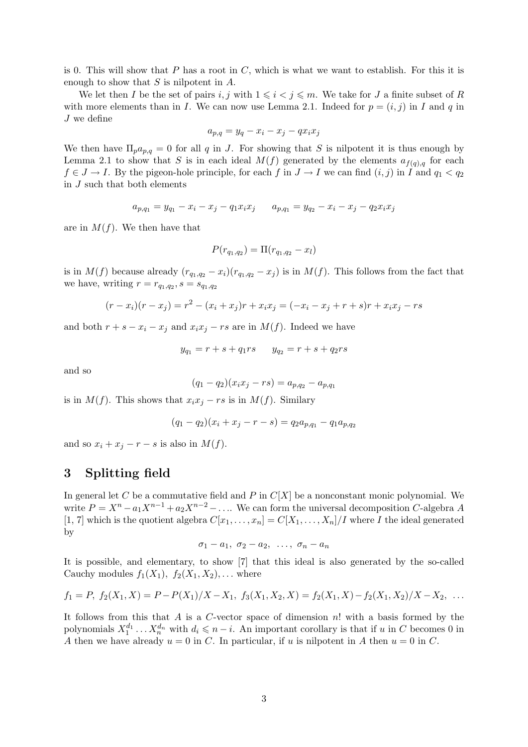is 0. This will show that  $P$  has a root in  $C$ , which is what we want to establish. For this it is enough to show that  $S$  is nilpotent in  $A$ .

We let then I be the set of pairs i, j with  $1 \leq i \leq j \leq m$ . We take for J a finite subset of R with more elements than in I. We can now use Lemma 2.1. Indeed for  $p = (i, j)$  in I and q in J we define

$$
a_{p,q} = y_q - x_i - x_j - qx_i x_j
$$

We then have  $\Pi_p a_{p,q} = 0$  for all q in J. For showing that S is nilpotent it is thus enough by Lemma 2.1 to show that S is in each ideal  $M(f)$  generated by the elements  $a_{f(q),q}$  for each  $f \in J \to I$ . By the pigeon-hole principle, for each f in  $J \to I$  we can find  $(i, j)$  in I and  $q_1 < q_2$ in J such that both elements

$$
a_{p,q_1} = y_{q_1} - x_i - x_j - q_1 x_i x_j \qquad a_{p,q_1} = y_{q_2} - x_i - x_j - q_2 x_i x_j
$$

are in  $M(f)$ . We then have that

$$
P(r_{q_1,q_2}) = \Pi(r_{q_1,q_2} - x_l)
$$

is in  $M(f)$  because already  $(r_{q_1,q_2}-x_i)(r_{q_1,q_2}-x_j)$  is in  $M(f)$ . This follows from the fact that we have, writing  $r = r_{q_1,q_2}, s = s_{q_1,q_2}$ 

$$
(r - xi)(r - xj) = r2 - (xi + xj)r + xixj = (-xi - xj + r + s)r + xixj - rs
$$

and both  $r + s - x_i - x_j$  and  $x_i x_j - rs$  are in  $M(f)$ . Indeed we have

$$
y_{q_1} = r + s + q_1rs \qquad y_{q_2} = r + s + q_2rs
$$

and so

$$
(q_1 - q_2)(x_i x_j - rs) = a_{p,q_2} - a_{p,q_1}
$$

is in  $M(f)$ . This shows that  $x_ix_j - rs$  is in  $M(f)$ . Similary

$$
(q_1 - q_2)(x_i + x_j - r - s) = q_2 a_{p,q_1} - q_1 a_{p,q_2}
$$

and so  $x_i + x_j - r - s$  is also in  $M(f)$ .

# 3 Splitting field

In general let C be a commutative field and P in  $C[X]$  be a nonconstant monic polynomial. We write  $P = X^n - a_1 X^{n-1} + a_2 X^{n-2} - \dots$  We can form the universal decomposition C-algebra A [1, 7] which is the quotient algebra  $C[x_1, \ldots, x_n] = C[X_1, \ldots, X_n]/I$  where I the ideal generated by

$$
\sigma_1 - a_1, \ \sigma_2 - a_2, \ \ldots, \ \sigma_n - a_n
$$

It is possible, and elementary, to show [7] that this ideal is also generated by the so-called Cauchy modules  $f_1(X_1)$ ,  $f_2(X_1, X_2)$ , ... where

$$
f_1 = P, f_2(X_1, X) = P - P(X_1)/X - X_1, f_3(X_1, X_2, X) = f_2(X_1, X) - f_2(X_1, X_2)/X - X_2, \ldots
$$

It follows from this that  $A$  is a  $C$ -vector space of dimension  $n!$  with a basis formed by the polynomials  $X_1^{d_1} \ldots X_n^{d_n}$  with  $d_i \leqslant n-i$ . An important corollary is that if u in C becomes 0 in A then we have already  $u = 0$  in C. In particular, if u is nilpotent in A then  $u = 0$  in C.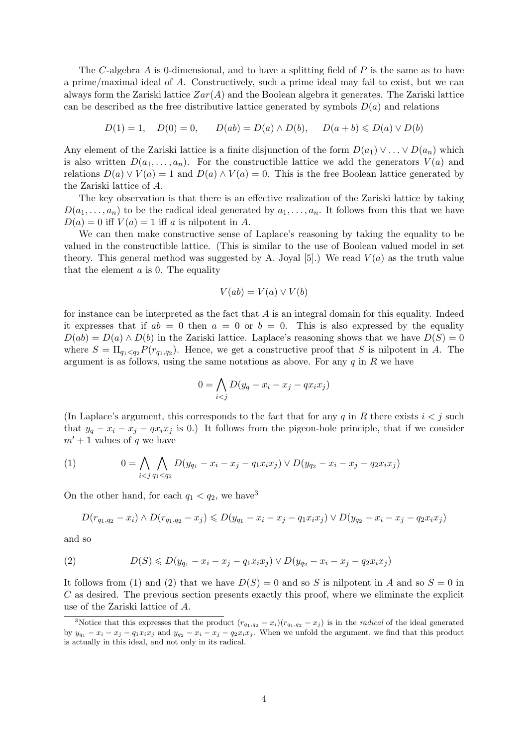The C-algebra A is 0-dimensional, and to have a splitting field of  $P$  is the same as to have a prime/maximal ideal of A. Constructively, such a prime ideal may fail to exist, but we can always form the Zariski lattice  $Zar(A)$  and the Boolean algebra it generates. The Zariski lattice can be described as the free distributive lattice generated by symbols  $D(a)$  and relations

$$
D(1) = 1
$$
,  $D(0) = 0$ ,  $D(ab) = D(a) \wedge D(b)$ ,  $D(a + b) \le D(a) \vee D(b)$ 

Any element of the Zariski lattice is a finite disjunction of the form  $D(a_1) \vee \ldots \vee D(a_n)$  which is also written  $D(a_1, \ldots, a_n)$ . For the constructible lattice we add the generators  $V(a)$  and relations  $D(a) \vee V(a) = 1$  and  $D(a) \wedge V(a) = 0$ . This is the free Boolean lattice generated by the Zariski lattice of A.

The key observation is that there is an effective realization of the Zariski lattice by taking  $D(a_1, \ldots, a_n)$  to be the radical ideal generated by  $a_1, \ldots, a_n$ . It follows from this that we have  $D(a) = 0$  iff  $V(a) = 1$  iff a is nilpotent in A.

We can then make constructive sense of Laplace's reasoning by taking the equality to be valued in the constructible lattice. (This is similar to the use of Boolean valued model in set theory. This general method was suggested by A. Joyal [5].) We read  $V(a)$  as the truth value that the element  $a$  is 0. The equality

$$
V(ab) = V(a) \vee V(b)
$$

for instance can be interpreted as the fact that  $A$  is an integral domain for this equality. Indeed it expresses that if  $ab = 0$  then  $a = 0$  or  $b = 0$ . This is also expressed by the equality  $D(ab) = D(a) \wedge D(b)$  in the Zariski lattice. Laplace's reasoning shows that we have  $D(S) = 0$ where  $S = \prod_{q_1 < q_2} P(r_{q_1,q_2})$ . Hence, we get a constructive proof that S is nilpotent in A. The argument is as follows, using the same notations as above. For any  $q$  in  $R$  we have

$$
0 = \bigwedge_{i < j} D(y_q - x_i - x_j - qx_i x_j)
$$

(In Laplace's argument, this corresponds to the fact that for any q in R there exists  $i < j$  such that  $y_q - x_i - x_j - qx_i x_j$  is 0.) It follows from the pigeon-hole principle, that if we consider  $m' + 1$  values of q we have

(1) 
$$
0 = \bigwedge_{i < j} \bigwedge_{q_1 < q_2} D(y_{q_1} - x_i - x_j - q_1 x_i x_j) \vee D(y_{q_2} - x_i - x_j - q_2 x_i x_j)
$$

On the other hand, for each  $q_1 < q_2$ , we have<sup>3</sup>

$$
D(r_{q_1,q_2}-x_i) \wedge D(r_{q_1,q_2}-x_j) \leq D(y_{q_1}-x_i-x_j-q_1x_ix_j) \vee D(y_{q_2}-x_i-x_j-q_2x_ix_j)
$$

and so

(2) 
$$
D(S) \leq D(y_{q_1} - x_i - x_j - q_1 x_i x_j) \vee D(y_{q_2} - x_i - x_j - q_2 x_i x_j)
$$

It follows from (1) and (2) that we have  $D(S) = 0$  and so S is nilpotent in A and so  $S = 0$  in C as desired. The previous section presents exactly this proof, where we eliminate the explicit use of the Zariski lattice of A.

<sup>&</sup>lt;sup>3</sup>Notice that this expresses that the product  $(r_{q_1,q_2} - x_i)(r_{q_1,q_2} - x_j)$  is in the *radical* of the ideal generated by  $y_{q_1} - x_i - x_j - q_1x_ix_j$  and  $y_{q_2} - x_i - x_j - q_2x_ix_j$ . When we unfold the argument, we find that this product is actually in this ideal, and not only in its radical.